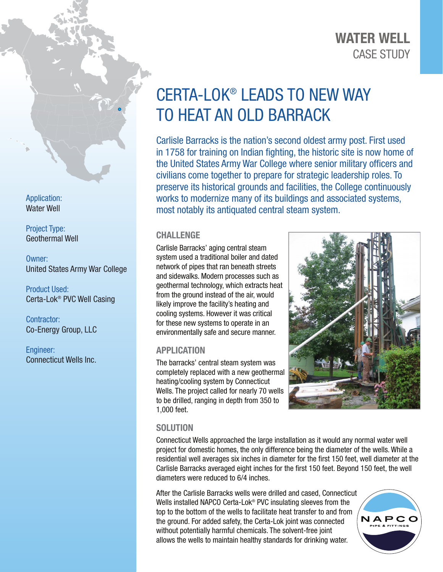# CASE STUDY WATER WELL

# CERTA-LOK® LEADS TO NEW WAY TO HEAT AN OLD BARRACK

Carlisle Barracks is the nation's second oldest army post. First used in 1758 for training on Indian fighting, the historic site is now home of the United States Army War College where senior military officers and civilians come together to prepare for strategic leadership roles. To preserve its historical grounds and facilities, the College continuously works to modernize many of its buildings and associated systems, most notably its antiquated central steam system.

### CHALLENGE

Carlisle Barracks' aging central steam system used a traditional boiler and dated network of pipes that ran beneath streets and sidewalks. Modern processes such as geothermal technology, which extracts heat from the ground instead of the air, would likely improve the facility's heating and cooling systems. However it was critical for these new systems to operate in an environmentally safe and secure manner.

## APPLICATION

The barracks' central steam system was completely replaced with a new geothermal heating/cooling system by Connecticut Wells. The project called for nearly 70 wells to be drilled, ranging in depth from 350 to 1,000 feet.



### **SOLUTION**

Connecticut Wells approached the large installation as it would any normal water well project for domestic homes, the only difference being the diameter of the wells. While a residential well averages six inches in diameter for the first 150 feet, well diameter at the Carlisle Barracks averaged eight inches for the first 150 feet. Beyond 150 feet, the well diameters were reduced to 6/4 inches.

After the Carlisle Barracks wells were drilled and cased, Connecticut Wells installed NAPCO Certa-Lok® PVC insulating sleeves from the top to the bottom of the wells to facilitate heat transfer to and from the ground. For added safety, the Certa-Lok joint was connected without potentially harmful chemicals. The solvent-free joint allows the wells to maintain healthy standards for drinking water.



Application: Water Well

Project Type: Geothermal Well

Owner: United States Army War College

Product Used: Certa-Lok® PVC Well Casing

Contractor: Co-Energy Group, LLC

Engineer: Connecticut Wells Inc.